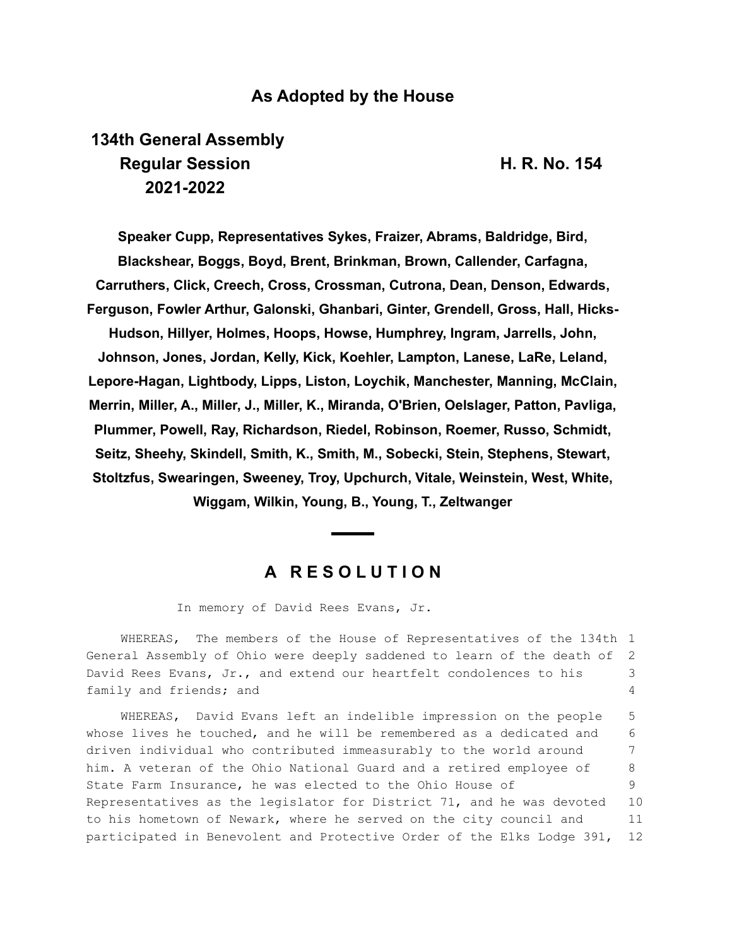## **As Adopted by the House**

# **134th General Assembly Regular Session H. R. No. 154 2021-2022**

**Speaker Cupp, Representatives Sykes, Fraizer, Abrams, Baldridge, Bird, Blackshear, Boggs, Boyd, Brent, Brinkman, Brown, Callender, Carfagna, Carruthers, Click, Creech, Cross, Crossman, Cutrona, Dean, Denson, Edwards, Ferguson, Fowler Arthur, Galonski, Ghanbari, Ginter, Grendell, Gross, Hall, Hicks-Hudson, Hillyer, Holmes, Hoops, Howse, Humphrey, Ingram, Jarrells, John, Johnson, Jones, Jordan, Kelly, Kick, Koehler, Lampton, Lanese, LaRe, Leland, Lepore-Hagan, Lightbody, Lipps, Liston, Loychik, Manchester, Manning, McClain, Merrin, Miller, A., Miller, J., Miller, K., Miranda, O'Brien, Oelslager, Patton, Pavliga, Plummer, Powell, Ray, Richardson, Riedel, Robinson, Roemer, Russo, Schmidt, Seitz, Sheehy, Skindell, Smith, K., Smith, M., Sobecki, Stein, Stephens, Stewart, Stoltzfus, Swearingen, Sweeney, Troy, Upchurch, Vitale, Weinstein, West, White, Wiggam, Wilkin, Young, B., Young, T., Zeltwanger**

### **A R E S O L U T I O N**

In memory of David Rees Evans, Jr.

WHEREAS, The members of the House of Representatives of the 134th 1 General Assembly of Ohio were deeply saddened to learn of the death of David Rees Evans, Jr., and extend our heartfelt condolences to his family and friends; and 2 3 4

WHEREAS, David Evans left an indelible impression on the people whose lives he touched, and he will be remembered as a dedicated and driven individual who contributed immeasurably to the world around him. A veteran of the Ohio National Guard and a retired employee of State Farm Insurance, he was elected to the Ohio House of Representatives as the legislator for District 71, and he was devoted to his hometown of Newark, where he served on the city council and participated in Benevolent and Protective Order of the Elks Lodge 391, 5 6 7 8 9 10 11 12